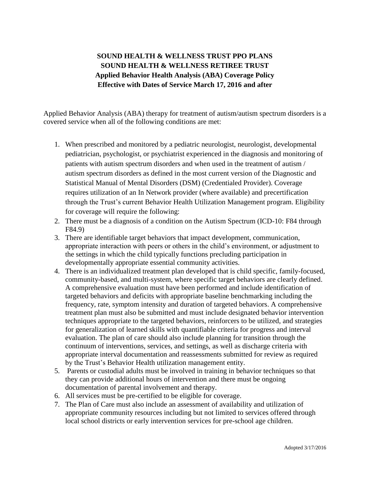## **SOUND HEALTH & WELLNESS TRUST PPO PLANS SOUND HEALTH & WELLNESS RETIREE TRUST Applied Behavior Health Analysis (ABA) Coverage Policy Effective with Dates of Service March 17, 2016 and after**

Applied Behavior Analysis (ABA) therapy for treatment of autism/autism spectrum disorders is a covered service when all of the following conditions are met:

- 1. When prescribed and monitored by a pediatric neurologist, neurologist, developmental pediatrician, psychologist, or psychiatrist experienced in the diagnosis and monitoring of patients with autism spectrum disorders and when used in the treatment of autism / autism spectrum disorders as defined in the most current version of the Diagnostic and Statistical Manual of Mental Disorders (DSM) (Credentialed Provider). Coverage requires utilization of an In Network provider (where available) and precertification through the Trust's current Behavior Health Utilization Management program. Eligibility for coverage will require the following:
- 2. There must be a diagnosis of a condition on the Autism Spectrum (ICD-10: F84 through F84.9)
- 3. There are identifiable target behaviors that impact development, communication, appropriate interaction with peers or others in the child's environment, or adjustment to the settings in which the child typically functions precluding participation in developmentally appropriate essential community activities.
- 4. There is an individualized treatment plan developed that is child specific, family-focused, community-based, and multi-system, where specific target behaviors are clearly defined. A comprehensive evaluation must have been performed and include identification of targeted behaviors and deficits with appropriate baseline benchmarking including the frequency, rate, symptom intensity and duration of targeted behaviors. A comprehensive treatment plan must also be submitted and must include designated behavior intervention techniques appropriate to the targeted behaviors, reinforcers to be utilized, and strategies for generalization of learned skills with quantifiable criteria for progress and interval evaluation. The plan of care should also include planning for transition through the continuum of interventions, services, and settings, as well as discharge criteria with appropriate interval documentation and reassessments submitted for review as required by the Trust's Behavior Health utilization management entity.
- 5. Parents or custodial adults must be involved in training in behavior techniques so that they can provide additional hours of intervention and there must be ongoing documentation of parental involvement and therapy.
- 6. All services must be pre-certified to be eligible for coverage.
- 7. The Plan of Care must also include an assessment of availability and utilization of appropriate community resources including but not limited to services offered through local school districts or early intervention services for pre-school age children.